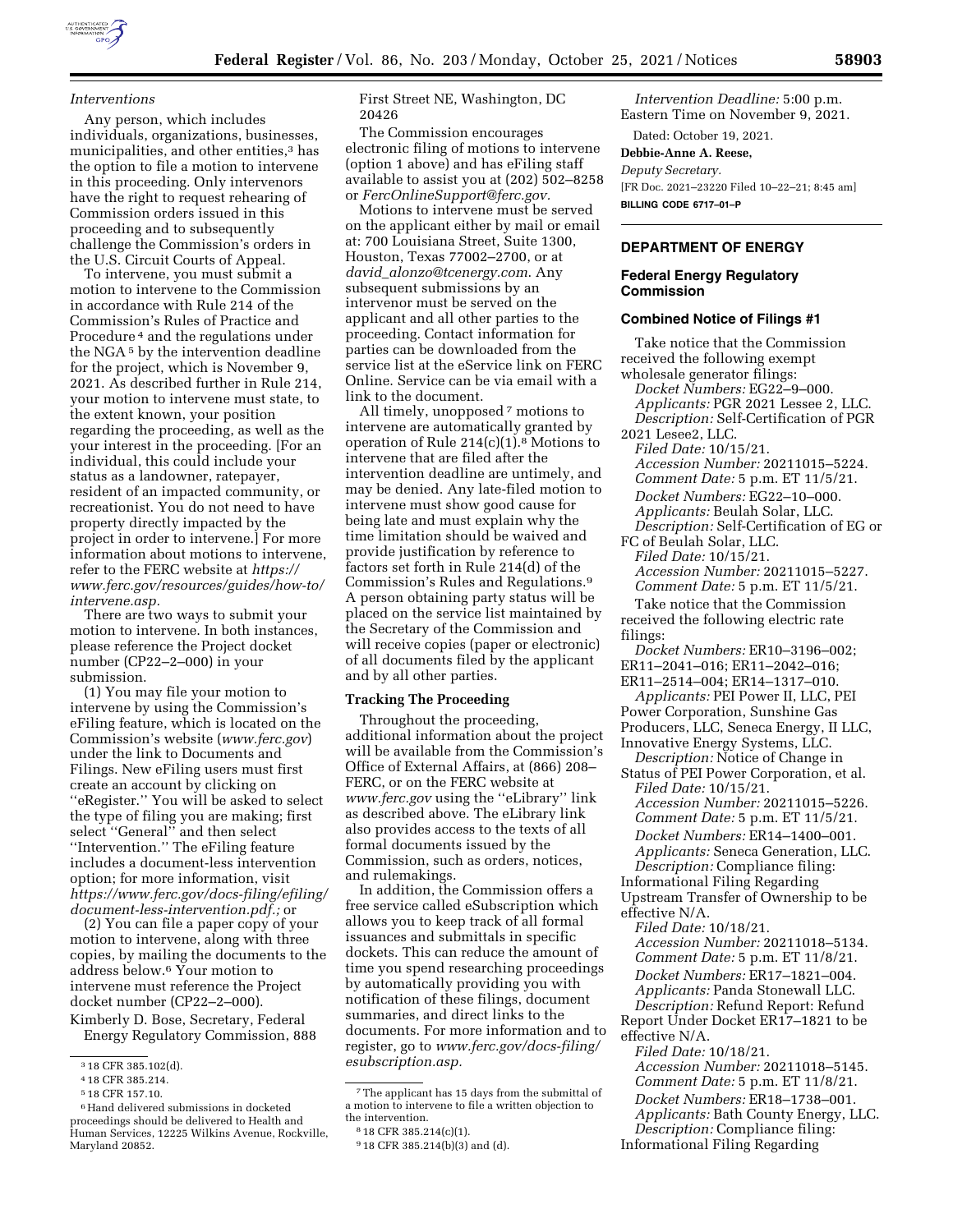

### *Interventions*

Any person, which includes individuals, organizations, businesses, municipalities, and other entities,<sup>3</sup> has the option to file a motion to intervene in this proceeding. Only intervenors have the right to request rehearing of Commission orders issued in this proceeding and to subsequently challenge the Commission's orders in the U.S. Circuit Courts of Appeal.

To intervene, you must submit a motion to intervene to the Commission in accordance with Rule 214 of the Commission's Rules of Practice and Procedure 4 and the regulations under the NGA 5 by the intervention deadline for the project, which is November 9, 2021. As described further in Rule 214, your motion to intervene must state, to the extent known, your position regarding the proceeding, as well as the your interest in the proceeding. [For an individual, this could include your status as a landowner, ratepayer, resident of an impacted community, or recreationist. You do not need to have property directly impacted by the project in order to intervene.] For more information about motions to intervene, refer to the FERC website at *[https://](https://www.ferc.gov/resources/guides/how-to/intervene.asp) [www.ferc.gov/resources/guides/how-to/](https://www.ferc.gov/resources/guides/how-to/intervene.asp) [intervene.asp.](https://www.ferc.gov/resources/guides/how-to/intervene.asp)* 

There are two ways to submit your motion to intervene. In both instances, please reference the Project docket number (CP22–2–000) in your submission.

(1) You may file your motion to intervene by using the Commission's eFiling feature, which is located on the Commission's website (*[www.ferc.gov](http://www.ferc.gov)*) under the link to Documents and Filings. New eFiling users must first create an account by clicking on ''eRegister.'' You will be asked to select the type of filing you are making; first select ''General'' and then select ''Intervention.'' The eFiling feature includes a document-less intervention option; for more information, visit *[https://www.ferc.gov/docs-filing/efiling/](https://www.ferc.gov/docs-filing/efiling/document-less-intervention.pdf)  [document-less-intervention.pdf.;](https://www.ferc.gov/docs-filing/efiling/document-less-intervention.pdf)* or

(2) You can file a paper copy of your motion to intervene, along with three copies, by mailing the documents to the address below.6 Your motion to intervene must reference the Project docket number (CP22–2–000). Kimberly D. Bose, Secretary, Federal

Energy Regulatory Commission, 888

First Street NE, Washington, DC 20426

The Commission encourages electronic filing of motions to intervene (option 1 above) and has eFiling staff available to assist you at (202) 502–8258 or *[FercOnlineSupport@ferc.gov.](mailto:FercOnlineSupport@ferc.gov)* 

Motions to intervene must be served on the applicant either by mail or email at: 700 Louisiana Street, Suite 1300, Houston, Texas 77002–2700, or at *david*\_*[alonzo@tcenergy.com](mailto:david_alonzo@tcenergy.com)*. Any subsequent submissions by an intervenor must be served on the applicant and all other parties to the proceeding. Contact information for parties can be downloaded from the service list at the eService link on FERC Online. Service can be via email with a link to the document.

All timely, unopposed  $^7$  motions to intervene are automatically granted by operation of Rule  $214(c)(1).8$  Motions to intervene that are filed after the intervention deadline are untimely, and may be denied. Any late-filed motion to intervene must show good cause for being late and must explain why the time limitation should be waived and provide justification by reference to factors set forth in Rule 214(d) of the Commission's Rules and Regulations.9 A person obtaining party status will be placed on the service list maintained by the Secretary of the Commission and will receive copies (paper or electronic) of all documents filed by the applicant and by all other parties.

### **Tracking The Proceeding**

Throughout the proceeding, additional information about the project will be available from the Commission's Office of External Affairs, at (866) 208– FERC, or on the FERC website at *[www.ferc.gov](http://www.ferc.gov)* using the ''eLibrary'' link as described above. The eLibrary link also provides access to the texts of all formal documents issued by the Commission, such as orders, notices, and rulemakings.

In addition, the Commission offers a free service called eSubscription which allows you to keep track of all formal issuances and submittals in specific dockets. This can reduce the amount of time you spend researching proceedings by automatically providing you with notification of these filings, document summaries, and direct links to the documents. For more information and to register, go to *[www.ferc.gov/docs-filing/](http://www.ferc.gov/docs-filing/esubscription.asp)  [esubscription.asp.](http://www.ferc.gov/docs-filing/esubscription.asp)* 

*Intervention Deadline:* 5:00 p.m. Eastern Time on November 9, 2021.

Dated: October 19, 2021.

## **Debbie-Anne A. Reese,**

*Deputy Secretary.*  [FR Doc. 2021–23220 Filed 10–22–21; 8:45 am] **BILLING CODE 6717–01–P** 

## **DEPARTMENT OF ENERGY**

## **Federal Energy Regulatory Commission**

#### **Combined Notice of Filings #1**

Take notice that the Commission received the following exempt wholesale generator filings: *Docket Numbers:* EG22–9–000. *Applicants:* PGR 2021 Lessee 2, LLC. *Description:* Self-Certification of PGR 2021 Lesee2, LLC. *Filed Date:* 10/15/21. *Accession Number:* 20211015–5224. *Comment Date:* 5 p.m. ET 11/5/21. *Docket Numbers:* EG22–10–000. *Applicants:* Beulah Solar, LLC. *Description:* Self-Certification of EG or FC of Beulah Solar, LLC. *Filed Date:* 10/15/21. *Accession Number:* 20211015–5227. *Comment Date:* 5 p.m. ET 11/5/21. Take notice that the Commission received the following electric rate filings: *Docket Numbers:* ER10–3196–002; ER11–2041–016; ER11–2042–016; ER11–2514–004; ER14–1317–010. *Applicants:* PEI Power II, LLC, PEI Power Corporation, Sunshine Gas Producers, LLC, Seneca Energy, II LLC, Innovative Energy Systems, LLC. *Description:* Notice of Change in Status of PEI Power Corporation, et al. *Filed Date:* 10/15/21. *Accession Number:* 20211015–5226. *Comment Date:* 5 p.m. ET 11/5/21. *Docket Numbers:* ER14–1400–001. *Applicants:* Seneca Generation, LLC. *Description:* Compliance filing: Informational Filing Regarding Upstream Transfer of Ownership to be effective N/A. *Filed Date:* 10/18/21. *Accession Number:* 20211018–5134. *Comment Date:* 5 p.m. ET 11/8/21. *Docket Numbers:* ER17–1821–004. *Applicants:* Panda Stonewall LLC. *Description:* Refund Report: Refund Report Under Docket ER17–1821 to be effective N/A. *Filed Date:* 10/18/21. *Accession Number:* 20211018–5145. *Comment Date:* 5 p.m. ET 11/8/21. *Docket Numbers:* ER18–1738–001. *Applicants:* Bath County Energy, LLC. *Description:* Compliance filing: Informational Filing Regarding

<sup>3</sup> 18 CFR 385.102(d).

<sup>4</sup> 18 CFR 385.214.

<sup>5</sup> 18 CFR 157.10.

<sup>6</sup>Hand delivered submissions in docketed proceedings should be delivered to Health and Human Services, 12225 Wilkins Avenue, Rockville, Maryland 20852.

<sup>7</sup>The applicant has 15 days from the submittal of a motion to intervene to file a written objection to the intervention.

<sup>8</sup> 18 CFR 385.214(c)(1).

<sup>9</sup> 18 CFR 385.214(b)(3) and (d).